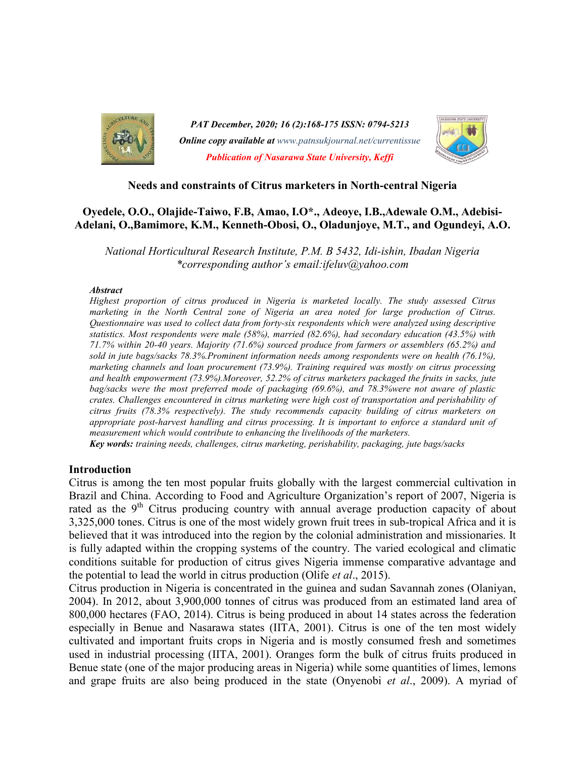

PAT December, 2020; 16 (2):168-175 ISSN: 0794-5213 **Online copy available at** www.patnsukjournal.net/currentissue Publication of Nasarawa State University, Keffi



### Needs and constraints of Citrus marketers in North-central Nigeria

# Oyedele, O.O., Olajide-Taiwo, F.B, Amao, I.O\*., Adeoye, I.B.,Adewale O.M., Adebisi-Adelani, O.,Bamimore, K.M., Kenneth-Obosi, O., Oladunjoye, M.T., and Ogundeyi, A.O.

National Horticultural Research Institute, P.M. B 5432, Idi-ishin, Ibadan Nigeria \*corresponding author's email:ifeluv@yahoo.com

### **Abstract**

Highest proportion of citrus produced in Nigeria is marketed locally. The study assessed Citrus marketing in the North Central zone of Nigeria an area noted for large production of Citrus. Questionnaire was used to collect data from forty-six respondents which were analyzed using descriptive statistics. Most respondents were male (58%), married (82.6%), had secondary education (43.5%) with 71.7% within 20-40 years. Majority (71.6%) sourced produce from farmers or assemblers (65.2%) and sold in jute bags/sacks 78.3%.Prominent information needs among respondents were on health (76.1%), marketing channels and loan procurement (73.9%). Training required was mostly on citrus processing and health empowerment (73.9%).Moreover, 52.2% of citrus marketers packaged the fruits in sacks, jute bag/sacks were the most preferred mode of packaging (69.6%), and 78.3%were not aware of plastic crates. Challenges encountered in citrus marketing were high cost of transportation and perishability of citrus fruits (78.3% respectively). The study recommends capacity building of citrus marketers on appropriate post-harvest handling and citrus processing. It is important to enforce a standard unit of measurement which would contribute to enhancing the livelihoods of the marketers.

Key words: training needs, challenges, citrus marketing, perishability, packaging, jute bags/sacks

# Introduction

Citrus is among the ten most popular fruits globally with the largest commercial cultivation in Brazil and China. According to Food and Agriculture Organization's report of 2007, Nigeria is rated as the  $9<sup>th</sup>$  Citrus producing country with annual average production capacity of about 3,325,000 tones. Citrus is one of the most widely grown fruit trees in sub-tropical Africa and it is believed that it was introduced into the region by the colonial administration and missionaries. It is fully adapted within the cropping systems of the country. The varied ecological and climatic conditions suitable for production of citrus gives Nigeria immense comparative advantage and the potential to lead the world in citrus production (Olife et al., 2015).

Citrus production in Nigeria is concentrated in the guinea and sudan Savannah zones (Olaniyan, 2004). In 2012, about 3,900,000 tonnes of citrus was produced from an estimated land area of 800,000 hectares (FAO, 2014). Citrus is being produced in about 14 states across the federation especially in Benue and Nasarawa states (IITA, 2001). Citrus is one of the ten most widely cultivated and important fruits crops in Nigeria and is mostly consumed fresh and sometimes used in industrial processing (IITA, 2001). Oranges form the bulk of citrus fruits produced in Benue state (one of the major producing areas in Nigeria) while some quantities of limes, lemons and grape fruits are also being produced in the state (Onyenobi et al., 2009). A myriad of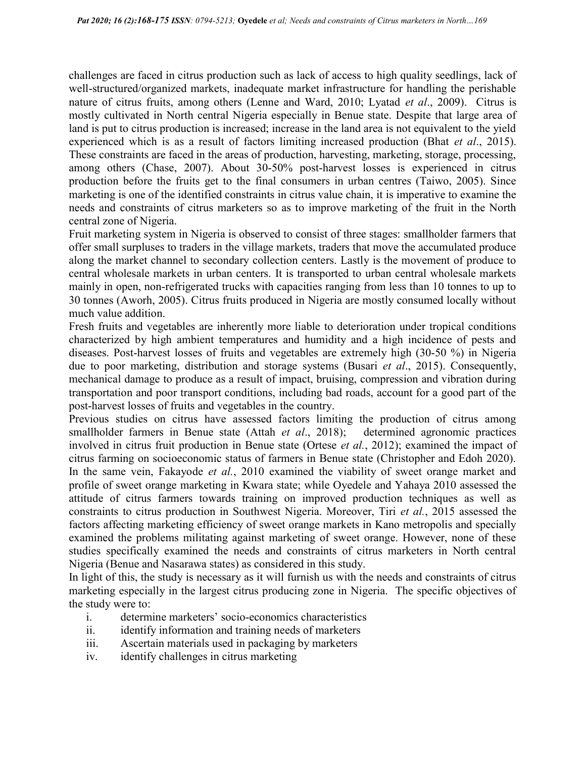challenges are faced in citrus production such as lack of access to high quality seedlings, lack of well-structured/organized markets, inadequate market infrastructure for handling the perishable nature of citrus fruits, among others (Lenne and Ward, 2010; Lyatad et al., 2009). Citrus is mostly cultivated in North central Nigeria especially in Benue state. Despite that large area of land is put to citrus production is increased; increase in the land area is not equivalent to the yield experienced which is as a result of factors limiting increased production (Bhat *et al.*, 2015). These constraints are faced in the areas of production, harvesting, marketing, storage, processing, among others (Chase, 2007). About 30-50% post-harvest losses is experienced in citrus production before the fruits get to the final consumers in urban centres (Taiwo, 2005). Since marketing is one of the identified constraints in citrus value chain, it is imperative to examine the needs and constraints of citrus marketers so as to improve marketing of the fruit in the North central zone of Nigeria.

Fruit marketing system in Nigeria is observed to consist of three stages: smallholder farmers that offer small surpluses to traders in the village markets, traders that move the accumulated produce along the market channel to secondary collection centers. Lastly is the movement of produce to central wholesale markets in urban centers. It is transported to urban central wholesale markets mainly in open, non-refrigerated trucks with capacities ranging from less than 10 tonnes to up to 30 tonnes (Aworh, 2005). Citrus fruits produced in Nigeria are mostly consumed locally without much value addition.

Fresh fruits and vegetables are inherently more liable to deterioration under tropical conditions characterized by high ambient temperatures and humidity and a high incidence of pests and diseases. Post-harvest losses of fruits and vegetables are extremely high (30-50 %) in Nigeria due to poor marketing, distribution and storage systems (Busari et al., 2015). Consequently, mechanical damage to produce as a result of impact, bruising, compression and vibration during transportation and poor transport conditions, including bad roads, account for a good part of the post-harvest losses of fruits and vegetables in the country.

Previous studies on citrus have assessed factors limiting the production of citrus among smallholder farmers in Benue state (Attah et al., 2018); determined agronomic practices involved in citrus fruit production in Benue state (Ortese et al., 2012); examined the impact of citrus farming on socioeconomic status of farmers in Benue state (Christopher and Edoh 2020). In the same vein, Fakayode *et al.*, 2010 examined the viability of sweet orange market and profile of sweet orange marketing in Kwara state; while Oyedele and Yahaya 2010 assessed the attitude of citrus farmers towards training on improved production techniques as well as constraints to citrus production in Southwest Nigeria. Moreover, Tiri et al., 2015 assessed the factors affecting marketing efficiency of sweet orange markets in Kano metropolis and specially examined the problems militating against marketing of sweet orange. However, none of these studies specifically examined the needs and constraints of citrus marketers in North central Nigeria (Benue and Nasarawa states) as considered in this study.

In light of this, the study is necessary as it will furnish us with the needs and constraints of citrus marketing especially in the largest citrus producing zone in Nigeria. The specific objectives of the study were to:

- i. determine marketers' socio-economics characteristics
- ii. identify information and training needs of marketers
- iii. Ascertain materials used in packaging by marketers
- iv. identify challenges in citrus marketing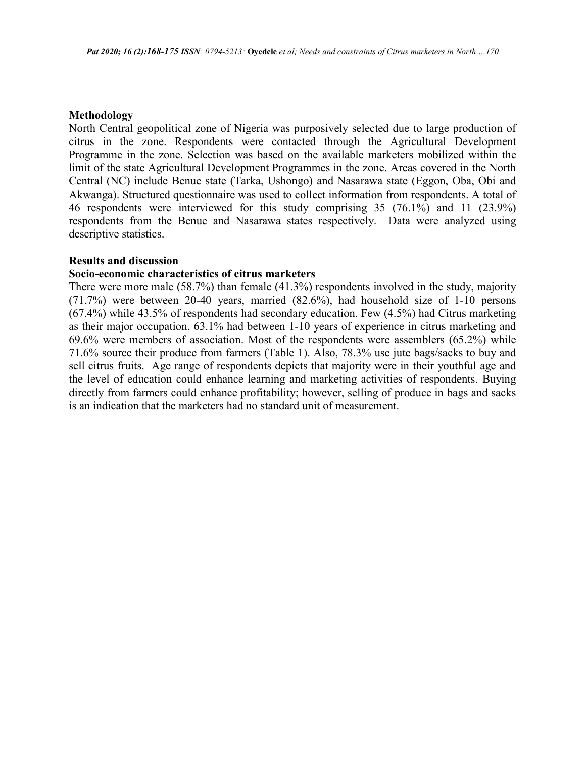### Methodology

North Central geopolitical zone of Nigeria was purposively selected due to large production of citrus in the zone. Respondents were contacted through the Agricultural Development Programme in the zone. Selection was based on the available marketers mobilized within the limit of the state Agricultural Development Programmes in the zone. Areas covered in the North Central (NC) include Benue state (Tarka, Ushongo) and Nasarawa state (Eggon, Oba, Obi and Akwanga). Structured questionnaire was used to collect information from respondents. A total of 46 respondents were interviewed for this study comprising 35 (76.1%) and 11 (23.9%) respondents from the Benue and Nasarawa states respectively. Data were analyzed using descriptive statistics.

### Results and discussion

### Socio-economic characteristics of citrus marketers

There were more male (58.7%) than female (41.3%) respondents involved in the study, majority (71.7%) were between 20-40 years, married (82.6%), had household size of 1-10 persons (67.4%) while 43.5% of respondents had secondary education. Few (4.5%) had Citrus marketing as their major occupation, 63.1% had between 1-10 years of experience in citrus marketing and 69.6% were members of association. Most of the respondents were assemblers (65.2%) while 71.6% source their produce from farmers (Table 1). Also, 78.3% use jute bags/sacks to buy and sell citrus fruits. Age range of respondents depicts that majority were in their youthful age and the level of education could enhance learning and marketing activities of respondents. Buying directly from farmers could enhance profitability; however, selling of produce in bags and sacks is an indication that the marketers had no standard unit of measurement.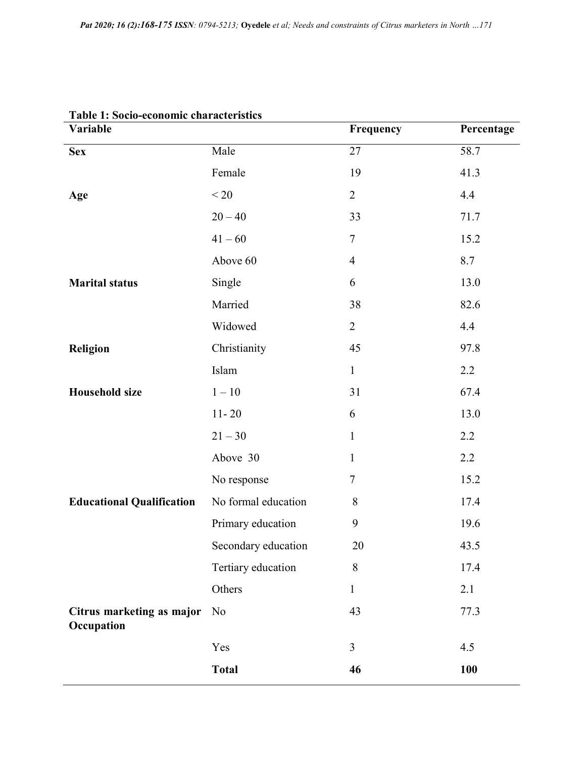| Table 1. Socio-ceonomic chai actei istics<br>Variable |                     | Frequency      | Percentage |
|-------------------------------------------------------|---------------------|----------------|------------|
| <b>Sex</b>                                            | Male                | 27             | 58.7       |
|                                                       | Female              | 19             | 41.3       |
| Age                                                   | < 20                | $\overline{2}$ | 4.4        |
|                                                       | $20 - 40$           | 33             | 71.7       |
|                                                       | $41 - 60$           | $\tau$         | 15.2       |
|                                                       | Above 60            | $\overline{4}$ | 8.7        |
| <b>Marital status</b>                                 | Single              | 6              | 13.0       |
|                                                       | Married             | 38             | 82.6       |
|                                                       | Widowed             | $\overline{2}$ | 4.4        |
| <b>Religion</b>                                       | Christianity        | 45             | 97.8       |
|                                                       | Islam               | $\mathbf{1}$   | 2.2        |
| <b>Household size</b>                                 | $1-10\,$            | 31             | 67.4       |
|                                                       | $11 - 20$           | 6              | 13.0       |
|                                                       | $21 - 30$           | $\mathbf{1}$   | 2.2        |
|                                                       | Above 30            | $\mathbf{1}$   | 2.2        |
|                                                       | No response         | $\tau$         | 15.2       |
| <b>Educational Qualification</b>                      | No formal education | 8              | 17.4       |
|                                                       | Primary education   | 9              | 19.6       |
|                                                       | Secondary education | 20             | 43.5       |
|                                                       | Tertiary education  | 8              | 17.4       |
|                                                       | Others              | $\mathbf{1}$   | 2.1        |
| Citrus marketing as major<br>Occupation               | N <sub>o</sub>      | 43             | 77.3       |
|                                                       | Yes                 | $\overline{3}$ | 4.5        |
|                                                       | <b>Total</b>        | 46             | 100        |

# Table 1: Socio-economic characteristics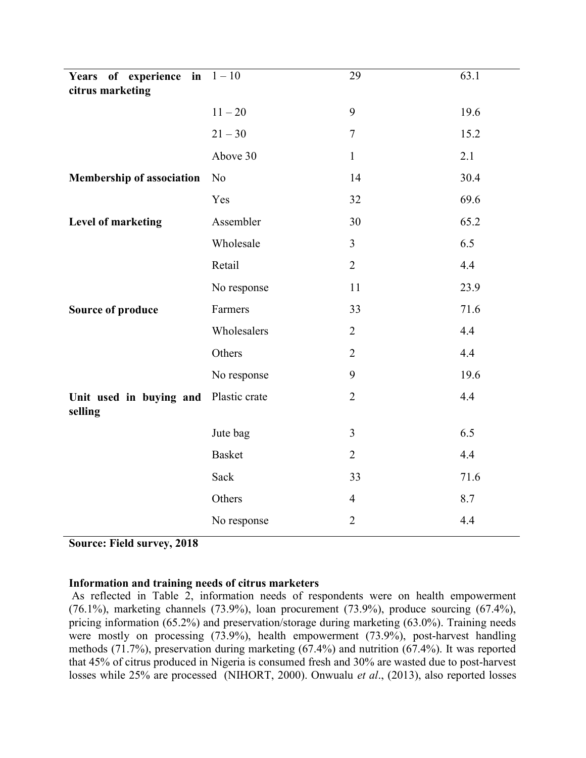| Years of experience in $1-10$<br>citrus marketing |                | 29             | 63.1 |
|---------------------------------------------------|----------------|----------------|------|
|                                                   | $11 - 20$      | 9              | 19.6 |
|                                                   | $21 - 30$      | $\overline{7}$ | 15.2 |
|                                                   | Above 30       | $\mathbf{1}$   | 2.1  |
| <b>Membership of association</b>                  | N <sub>o</sub> | 14             | 30.4 |
|                                                   | Yes            | 32             | 69.6 |
| Level of marketing                                | Assembler      | 30             | 65.2 |
|                                                   | Wholesale      | $\overline{3}$ | 6.5  |
|                                                   | Retail         | $\overline{2}$ | 4.4  |
|                                                   | No response    | 11             | 23.9 |
| <b>Source of produce</b>                          | Farmers        | 33             | 71.6 |
|                                                   | Wholesalers    | $\overline{2}$ | 4.4  |
|                                                   | Others         | $\overline{2}$ | 4.4  |
|                                                   | No response    | 9              | 19.6 |
| Unit used in buying and<br>selling                | Plastic crate  | $\overline{2}$ | 4.4  |
|                                                   | Jute bag       | $\overline{3}$ | 6.5  |
|                                                   | <b>Basket</b>  | $\overline{2}$ | 4.4  |
|                                                   | Sack           | 33             | 71.6 |
|                                                   | Others         | $\overline{4}$ | 8.7  |
|                                                   | No response    | $\overline{2}$ | 4.4  |

Source: Field survey, 2018

# Information and training needs of citrus marketers

 As reflected in Table 2, information needs of respondents were on health empowerment (76.1%), marketing channels (73.9%), loan procurement (73.9%), produce sourcing (67.4%), pricing information (65.2%) and preservation/storage during marketing (63.0%). Training needs were mostly on processing (73.9%), health empowerment (73.9%), post-harvest handling methods (71.7%), preservation during marketing (67.4%) and nutrition (67.4%). It was reported that 45% of citrus produced in Nigeria is consumed fresh and 30% are wasted due to post-harvest losses while 25% are processed (NIHORT, 2000). Onwualu *et al.*, (2013), also reported losses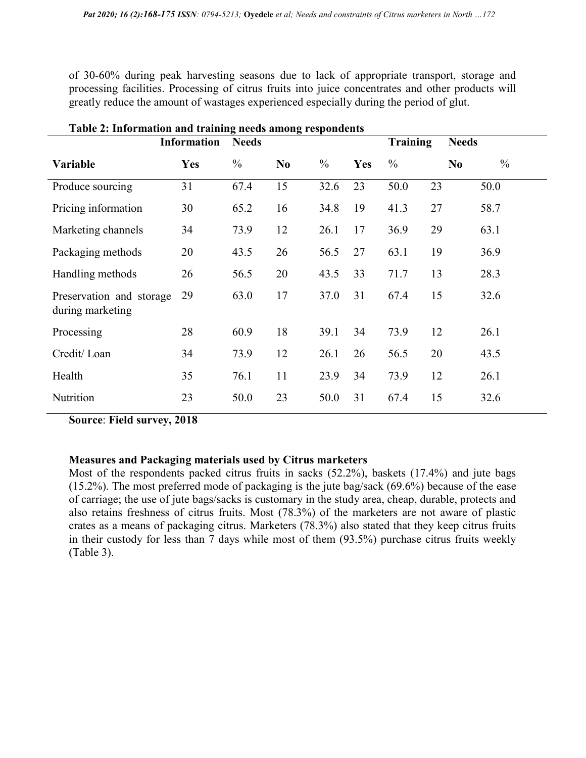of 30-60% during peak harvesting seasons due to lack of appropriate transport, storage and processing facilities. Processing of citrus fruits into juice concentrates and other products will greatly reduce the amount of wastages experienced especially during the period of glut.

| Table 2. Information and training needs among respondents | <b>Information</b> | <b>Needs</b>  |                |               |     | <b>Training</b> |    | <b>Needs</b>                    |  |
|-----------------------------------------------------------|--------------------|---------------|----------------|---------------|-----|-----------------|----|---------------------------------|--|
| Variable                                                  | <b>Yes</b>         | $\frac{0}{0}$ | N <sub>0</sub> | $\frac{0}{0}$ | Yes | $\frac{0}{0}$   |    | $\frac{0}{0}$<br>N <sub>0</sub> |  |
| Produce sourcing                                          | 31                 | 67.4          | 15             | 32.6          | 23  | 50.0            | 23 | 50.0                            |  |
| Pricing information                                       | 30                 | 65.2          | 16             | 34.8          | 19  | 41.3            | 27 | 58.7                            |  |
| Marketing channels                                        | 34                 | 73.9          | 12             | 26.1          | 17  | 36.9            | 29 | 63.1                            |  |
| Packaging methods                                         | 20                 | 43.5          | 26             | 56.5          | 27  | 63.1            | 19 | 36.9                            |  |
| Handling methods                                          | 26                 | 56.5          | 20             | 43.5          | 33  | 71.7            | 13 | 28.3                            |  |
| Preservation and storage<br>during marketing              | 29                 | 63.0          | 17             | 37.0          | 31  | 67.4            | 15 | 32.6                            |  |
| Processing                                                | 28                 | 60.9          | 18             | 39.1          | 34  | 73.9            | 12 | 26.1                            |  |
| Credit/Loan                                               | 34                 | 73.9          | 12             | 26.1          | 26  | 56.5            | 20 | 43.5                            |  |
| Health                                                    | 35                 | 76.1          | 11             | 23.9          | 34  | 73.9            | 12 | 26.1                            |  |
| Nutrition                                                 | 23                 | 50.0          | 23             | 50.0          | 31  | 67.4            | 15 | 32.6                            |  |

Table 2: Information and training needs among respondents

Source: Field survey, 2018

# Measures and Packaging materials used by Citrus marketers

Most of the respondents packed citrus fruits in sacks (52.2%), baskets (17.4%) and jute bags (15.2%). The most preferred mode of packaging is the jute bag/sack (69.6%) because of the ease of carriage; the use of jute bags/sacks is customary in the study area, cheap, durable, protects and also retains freshness of citrus fruits. Most (78.3%) of the marketers are not aware of plastic crates as a means of packaging citrus. Marketers (78.3%) also stated that they keep citrus fruits in their custody for less than 7 days while most of them (93.5%) purchase citrus fruits weekly (Table 3).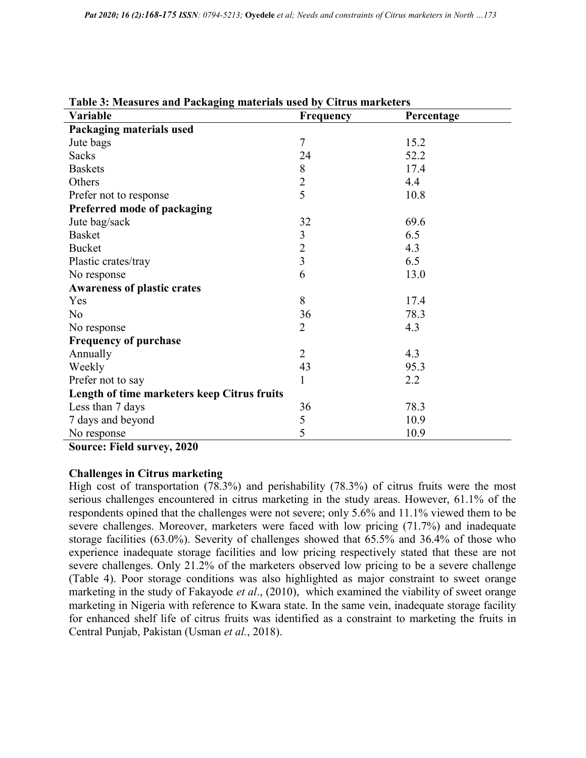| Table 3: Measures and Packaging materials used by Citrus marketers |                |            |  |  |  |
|--------------------------------------------------------------------|----------------|------------|--|--|--|
| Variable                                                           | Frequency      | Percentage |  |  |  |
| Packaging materials used                                           |                |            |  |  |  |
| Jute bags                                                          | $\tau$         | 15.2       |  |  |  |
| <b>Sacks</b>                                                       | 24             | 52.2       |  |  |  |
| <b>Baskets</b>                                                     | $8\,$          | 17.4       |  |  |  |
| Others                                                             | $\overline{c}$ | 4.4        |  |  |  |
| Prefer not to response                                             | $\overline{5}$ | 10.8       |  |  |  |
| Preferred mode of packaging                                        |                |            |  |  |  |
| Jute bag/sack                                                      | 32             | 69.6       |  |  |  |
| <b>Basket</b>                                                      | $\mathfrak{Z}$ | 6.5        |  |  |  |
| <b>Bucket</b>                                                      | $\overline{2}$ | 4.3        |  |  |  |
| Plastic crates/tray                                                | $\overline{3}$ | 6.5        |  |  |  |
| No response                                                        | 6              | 13.0       |  |  |  |
| <b>Awareness of plastic crates</b>                                 |                |            |  |  |  |
| Yes                                                                | 8              | 17.4       |  |  |  |
| N <sub>o</sub>                                                     | 36             | 78.3       |  |  |  |
| No response                                                        | $\overline{2}$ | 4.3        |  |  |  |
| <b>Frequency of purchase</b>                                       |                |            |  |  |  |
| Annually                                                           | $\overline{2}$ | 4.3        |  |  |  |
| Weekly                                                             | 43             | 95.3       |  |  |  |
| Prefer not to say                                                  | 1              | 2.2        |  |  |  |
| Length of time marketers keep Citrus fruits                        |                |            |  |  |  |
| Less than 7 days                                                   | 36             | 78.3       |  |  |  |
| 7 days and beyond                                                  | 5              | 10.9       |  |  |  |
| No response                                                        | 5              | 10.9       |  |  |  |

Source: Field survey, 2020

# Challenges in Citrus marketing

High cost of transportation (78.3%) and perishability (78.3%) of citrus fruits were the most serious challenges encountered in citrus marketing in the study areas. However, 61.1% of the respondents opined that the challenges were not severe; only 5.6% and 11.1% viewed them to be severe challenges. Moreover, marketers were faced with low pricing (71.7%) and inadequate storage facilities (63.0%). Severity of challenges showed that 65.5% and 36.4% of those who experience inadequate storage facilities and low pricing respectively stated that these are not severe challenges. Only 21.2% of the marketers observed low pricing to be a severe challenge (Table 4). Poor storage conditions was also highlighted as major constraint to sweet orange marketing in the study of Fakayode et al., (2010), which examined the viability of sweet orange marketing in Nigeria with reference to Kwara state. In the same vein, inadequate storage facility for enhanced shelf life of citrus fruits was identified as a constraint to marketing the fruits in Central Punjab, Pakistan (Usman et al., 2018).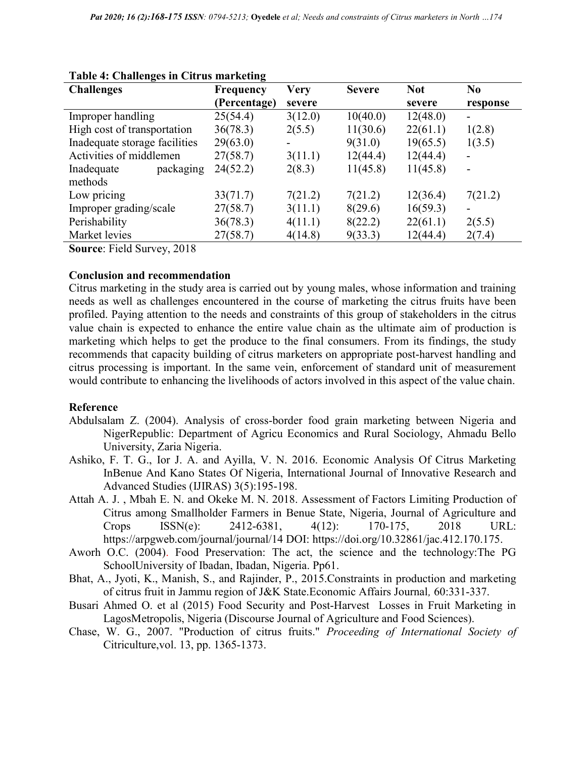| ਰ ਜ                                    |                  |         |               |            |                |
|----------------------------------------|------------------|---------|---------------|------------|----------------|
| <b>Challenges</b>                      | <b>Frequency</b> | Very    | <b>Severe</b> | <b>Not</b> | N <sub>0</sub> |
|                                        | (Percentage)     | severe  |               | severe     | response       |
| Improper handling                      | 25(54.4)         | 3(12.0) | 10(40.0)      | 12(48.0)   | -              |
| High cost of transportation            | 36(78.3)         | 2(5.5)  | 11(30.6)      | 22(61.1)   | 1(2.8)         |
| Inadequate storage facilities          | 29(63.0)         | -       | 9(31.0)       | 19(65.5)   | 1(3.5)         |
| Activities of middlemen                | 27(58.7)         | 3(11.1) | 12(44.4)      | 12(44.4)   |                |
| Inadequate<br>packaging                | 24(52.2)         | 2(8.3)  | 11(45.8)      | 11(45.8)   |                |
| methods                                |                  |         |               |            |                |
| Low pricing                            | 33(71.7)         | 7(21.2) | 7(21.2)       | 12(36.4)   | 7(21.2)        |
| Improper grading/scale                 | 27(58.7)         | 3(11.1) | 8(29.6)       | 16(59.3)   |                |
| Perishability                          | 36(78.3)         | 4(11.1) | 8(22.2)       | 22(61.1)   | 2(5.5)         |
| Market levies                          | 27(58.7)         | 4(14.8) | 9(33.3)       | 12(44.4)   | 2(7.4)         |
| $\Gamma$ 110<br>0.010<br>$\sim$ $\sim$ |                  |         |               |            |                |

### Table 4: Challenges in Citrus marketing

Source: Field Survey, 2018

### Conclusion and recommendation

Citrus marketing in the study area is carried out by young males, whose information and training needs as well as challenges encountered in the course of marketing the citrus fruits have been profiled. Paying attention to the needs and constraints of this group of stakeholders in the citrus value chain is expected to enhance the entire value chain as the ultimate aim of production is marketing which helps to get the produce to the final consumers. From its findings, the study recommends that capacity building of citrus marketers on appropriate post-harvest handling and citrus processing is important. In the same vein, enforcement of standard unit of measurement would contribute to enhancing the livelihoods of actors involved in this aspect of the value chain.

# Reference

- Abdulsalam Z. (2004). Analysis of cross-border food grain marketing between Nigeria and NigerRepublic: Department of Agricu Economics and Rural Sociology, Ahmadu Bello University, Zaria Nigeria.
- Ashiko, F. T. G., Ior J. A. and Ayilla, V. N. 2016. Economic Analysis Of Citrus Marketing InBenue And Kano States Of Nigeria, International Journal of Innovative Research and Advanced Studies (IJIRAS) 3(5):195-198.
- Attah A. J. , Mbah E. N. and Okeke M. N. 2018. Assessment of Factors Limiting Production of Citrus among Smallholder Farmers in Benue State, Nigeria, Journal of Agriculture and Crops ISSN(e): 2412-6381, 4(12): 170-175, 2018 URL: https://arpgweb.com/journal/journal/14 DOI: https://doi.org/10.32861/jac.412.170.175.
- Aworh O.C. (2004). Food Preservation: The act, the science and the technology:The PG SchoolUniversity of Ibadan, Ibadan, Nigeria. Pp61.
- Bhat, A., Jyoti, K., Manish, S., and Rajinder, P., 2015.Constraints in production and marketing of citrus fruit in Jammu region of J&K State.Economic Affairs Journal, 60:331-337.
- Busari Ahmed O. et al (2015) Food Security and Post-Harvest Losses in Fruit Marketing in LagosMetropolis, Nigeria (Discourse Journal of Agriculture and Food Sciences).
- Chase, W. G., 2007. "Production of citrus fruits." Proceeding of International Society of Citriculture,vol. 13, pp. 1365-1373.